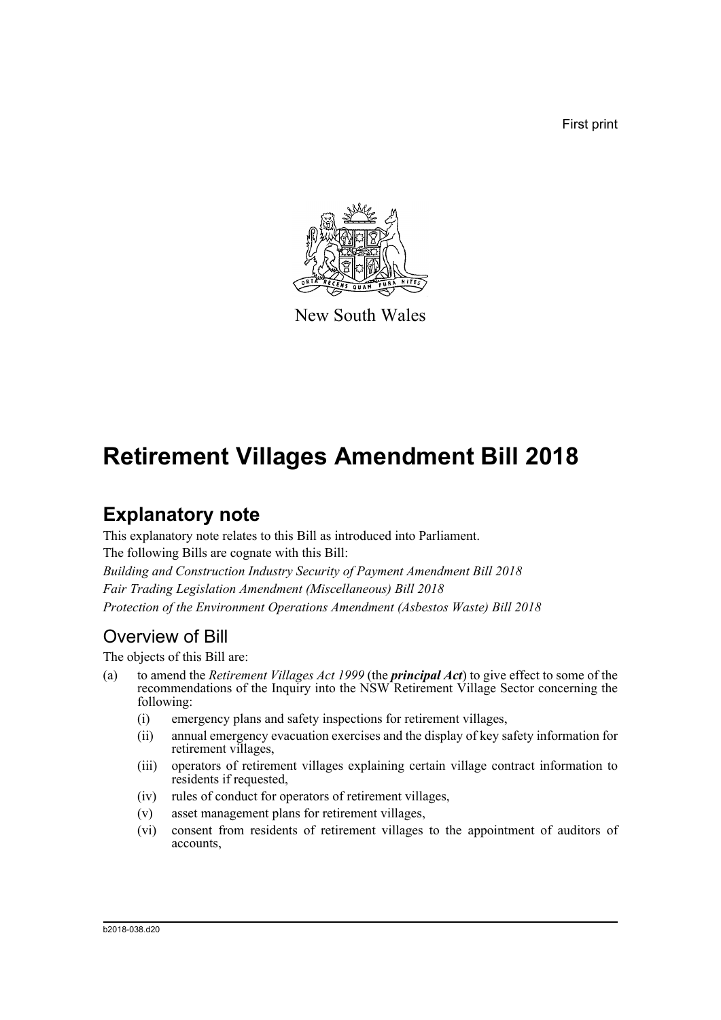First print



New South Wales

# **Retirement Villages Amendment Bill 2018**

# **Explanatory note**

This explanatory note relates to this Bill as introduced into Parliament. The following Bills are cognate with this Bill: *Building and Construction Industry Security of Payment Amendment Bill 2018 Fair Trading Legislation Amendment (Miscellaneous) Bill 2018 Protection of the Environment Operations Amendment (Asbestos Waste) Bill 2018*

## Overview of Bill

The objects of this Bill are:

- (a) to amend the *Retirement Villages Act 1999* (the *principal Act*) to give effect to some of the recommendations of the Inquiry into the NSW Retirement Village Sector concerning the following:
	- (i) emergency plans and safety inspections for retirement villages,
	- (ii) annual emergency evacuation exercises and the display of key safety information for retirement villages,
	- (iii) operators of retirement villages explaining certain village contract information to residents if requested,
	- (iv) rules of conduct for operators of retirement villages,
	- (v) asset management plans for retirement villages,
	- (vi) consent from residents of retirement villages to the appointment of auditors of accounts,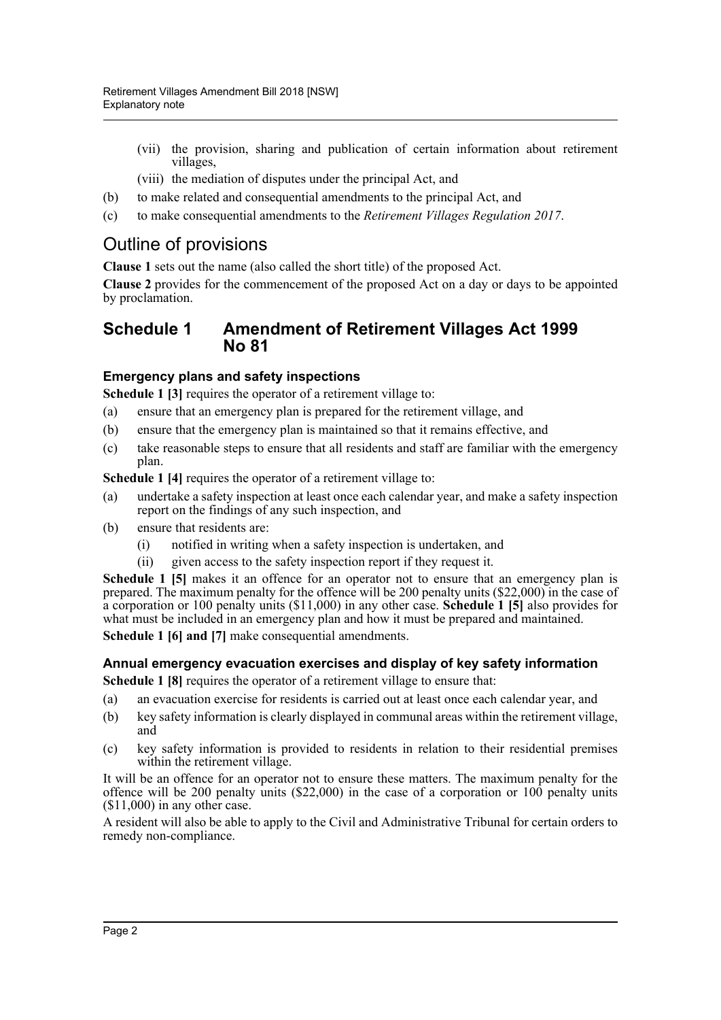- (vii) the provision, sharing and publication of certain information about retirement villages,
- (viii) the mediation of disputes under the principal Act, and
- (b) to make related and consequential amendments to the principal Act, and
- (c) to make consequential amendments to the *Retirement Villages Regulation 2017*.

## Outline of provisions

**Clause 1** sets out the name (also called the short title) of the proposed Act.

**Clause 2** provides for the commencement of the proposed Act on a day or days to be appointed by proclamation.

#### **Schedule 1 Amendment of Retirement Villages Act 1999 No 81**

#### **Emergency plans and safety inspections**

**Schedule 1 [3] requires the operator of a retirement village to:** 

- (a) ensure that an emergency plan is prepared for the retirement village, and
- (b) ensure that the emergency plan is maintained so that it remains effective, and
- (c) take reasonable steps to ensure that all residents and staff are familiar with the emergency plan.

**Schedule 1 [4]** requires the operator of a retirement village to:

- (a) undertake a safety inspection at least once each calendar year, and make a safety inspection report on the findings of any such inspection, and
- (b) ensure that residents are:
	- (i) notified in writing when a safety inspection is undertaken, and
	- (ii) given access to the safety inspection report if they request it.

**Schedule 1 [5]** makes it an offence for an operator not to ensure that an emergency plan is prepared. The maximum penalty for the offence will be 200 penalty units (\$22,000) in the case of a corporation or 100 penalty units (\$11,000) in any other case. **Schedule 1 [5]** also provides for what must be included in an emergency plan and how it must be prepared and maintained.

**Schedule 1 [6] and [7]** make consequential amendments.

#### **Annual emergency evacuation exercises and display of key safety information**

**Schedule 1 [8]** requires the operator of a retirement village to ensure that:

- (a) an evacuation exercise for residents is carried out at least once each calendar year, and
- (b) key safety information is clearly displayed in communal areas within the retirement village, and
- (c) key safety information is provided to residents in relation to their residential premises within the retirement village.

It will be an offence for an operator not to ensure these matters. The maximum penalty for the offence will be 200 penalty units (\$22,000) in the case of a corporation or 100 penalty units (\$11,000) in any other case.

A resident will also be able to apply to the Civil and Administrative Tribunal for certain orders to remedy non-compliance.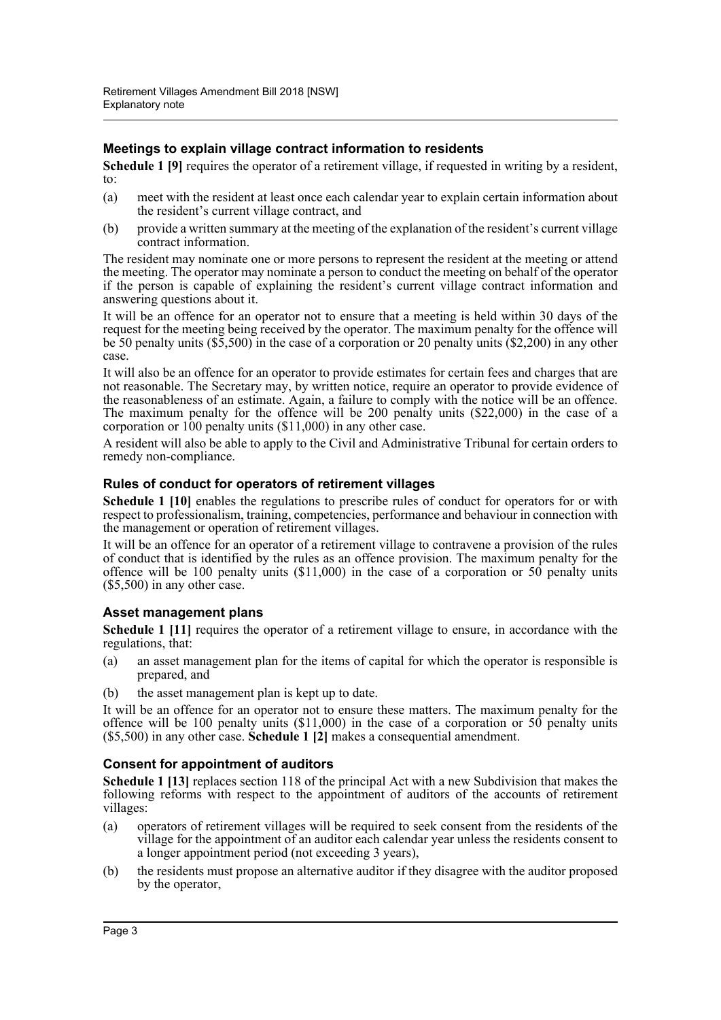#### **Meetings to explain village contract information to residents**

**Schedule 1 [9]** requires the operator of a retirement village, if requested in writing by a resident, to:

- (a) meet with the resident at least once each calendar year to explain certain information about the resident's current village contract, and
- (b) provide a written summary at the meeting of the explanation of the resident's current village contract information.

The resident may nominate one or more persons to represent the resident at the meeting or attend the meeting. The operator may nominate a person to conduct the meeting on behalf of the operator if the person is capable of explaining the resident's current village contract information and answering questions about it.

It will be an offence for an operator not to ensure that a meeting is held within 30 days of the request for the meeting being received by the operator. The maximum penalty for the offence will be 50 penalty units (\$5,500) in the case of a corporation or 20 penalty units (\$2,200) in any other case.

It will also be an offence for an operator to provide estimates for certain fees and charges that are not reasonable. The Secretary may, by written notice, require an operator to provide evidence of the reasonableness of an estimate. Again, a failure to comply with the notice will be an offence. The maximum penalty for the offence will be 200 penalty units (\$22,000) in the case of a corporation or  $100$  penalty units  $(\$11,000)$  in any other case.

A resident will also be able to apply to the Civil and Administrative Tribunal for certain orders to remedy non-compliance.

#### **Rules of conduct for operators of retirement villages**

**Schedule 1 [10]** enables the regulations to prescribe rules of conduct for operators for or with respect to professionalism, training, competencies, performance and behaviour in connection with the management or operation of retirement villages.

It will be an offence for an operator of a retirement village to contravene a provision of the rules of conduct that is identified by the rules as an offence provision. The maximum penalty for the offence will be 100 penalty units  $(\$11,000)$  in the case of a corporation or 50 penalty units (\$5,500) in any other case.

#### **Asset management plans**

**Schedule 1 [11]** requires the operator of a retirement village to ensure, in accordance with the regulations, that:

- (a) an asset management plan for the items of capital for which the operator is responsible is prepared, and
- (b) the asset management plan is kept up to date.

It will be an offence for an operator not to ensure these matters. The maximum penalty for the offence will be 100 penalty units  $(\$11,000)$  in the case of a corporation or 50 penalty units (\$5,500) in any other case. **Schedule 1 [2]** makes a consequential amendment.

#### **Consent for appointment of auditors**

**Schedule 1 [13]** replaces section 118 of the principal Act with a new Subdivision that makes the following reforms with respect to the appointment of auditors of the accounts of retirement villages:

- (a) operators of retirement villages will be required to seek consent from the residents of the village for the appointment of an auditor each calendar year unless the residents consent to a longer appointment period (not exceeding 3 years),
- (b) the residents must propose an alternative auditor if they disagree with the auditor proposed by the operator,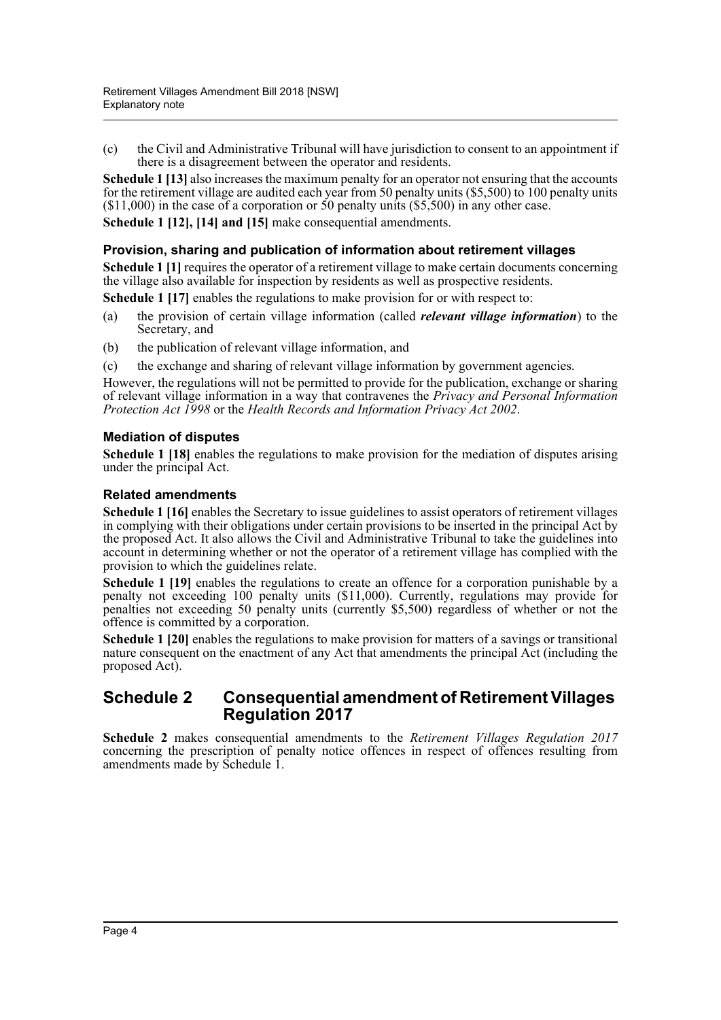(c) the Civil and Administrative Tribunal will have jurisdiction to consent to an appointment if there is a disagreement between the operator and residents.

**Schedule 1 [13]** also increases the maximum penalty for an operator not ensuring that the accounts for the retirement village are audited each year from 50 penalty units (\$5,500) to 100 penalty units  $($11,000)$  in the case of a corporation or 50 penalty units  $($5,500)$  in any other case.

**Schedule 1 [12], [14] and [15]** make consequential amendments.

#### **Provision, sharing and publication of information about retirement villages**

**Schedule 1 [1]** requires the operator of a retirement village to make certain documents concerning the village also available for inspection by residents as well as prospective residents.

**Schedule 1 [17]** enables the regulations to make provision for or with respect to:

- (a) the provision of certain village information (called *relevant village information*) to the Secretary, and
- (b) the publication of relevant village information, and
- (c) the exchange and sharing of relevant village information by government agencies.

However, the regulations will not be permitted to provide for the publication, exchange or sharing of relevant village information in a way that contravenes the *Privacy and Personal Information Protection Act 1998* or the *Health Records and Information Privacy Act 2002*.

#### **Mediation of disputes**

**Schedule 1 [18]** enables the regulations to make provision for the mediation of disputes arising under the principal Act.

#### **Related amendments**

**Schedule 1 [16]** enables the Secretary to issue guidelines to assist operators of retirement villages in complying with their obligations under certain provisions to be inserted in the principal Act by the proposed Act. It also allows the Civil and Administrative Tribunal to take the guidelines into account in determining whether or not the operator of a retirement village has complied with the provision to which the guidelines relate.

**Schedule 1 [19]** enables the regulations to create an offence for a corporation punishable by a penalty not exceeding 100 penalty units (\$11,000). Currently, regulations may provide for penalties not exceeding 50 penalty units (currently \$5,500) regardless of whether or not the offence is committed by a corporation.

**Schedule 1 [20]** enables the regulations to make provision for matters of a savings or transitional nature consequent on the enactment of any Act that amendments the principal Act (including the proposed Act).

#### **Schedule 2 Consequential amendment of Retirement Villages Regulation 2017**

**Schedule 2** makes consequential amendments to the *Retirement Villages Regulation 2017* concerning the prescription of penalty notice offences in respect of offences resulting from amendments made by Schedule 1.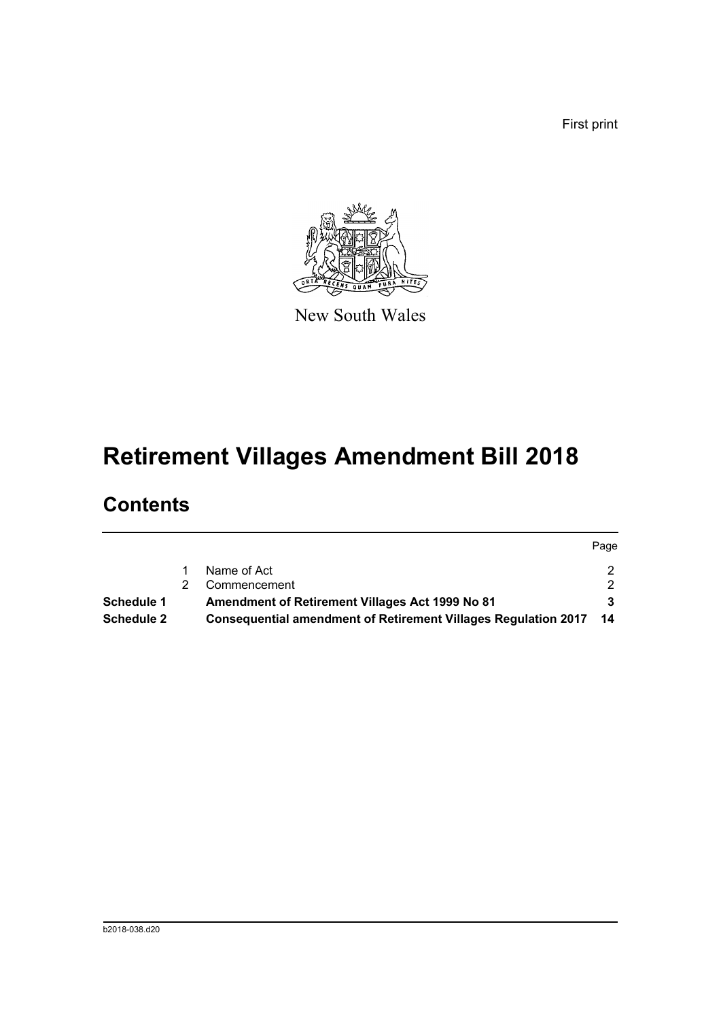First print



New South Wales

# **Retirement Villages Amendment Bill 2018**

## **Contents**

|                   |                                                                   | Page          |
|-------------------|-------------------------------------------------------------------|---------------|
|                   | Name of Act                                                       | 2.            |
|                   | Commencement                                                      | $\mathcal{D}$ |
| <b>Schedule 1</b> | Amendment of Retirement Villages Act 1999 No 81                   |               |
| Schedule 2        | Consequential amendment of Retirement Villages Regulation 2017 14 |               |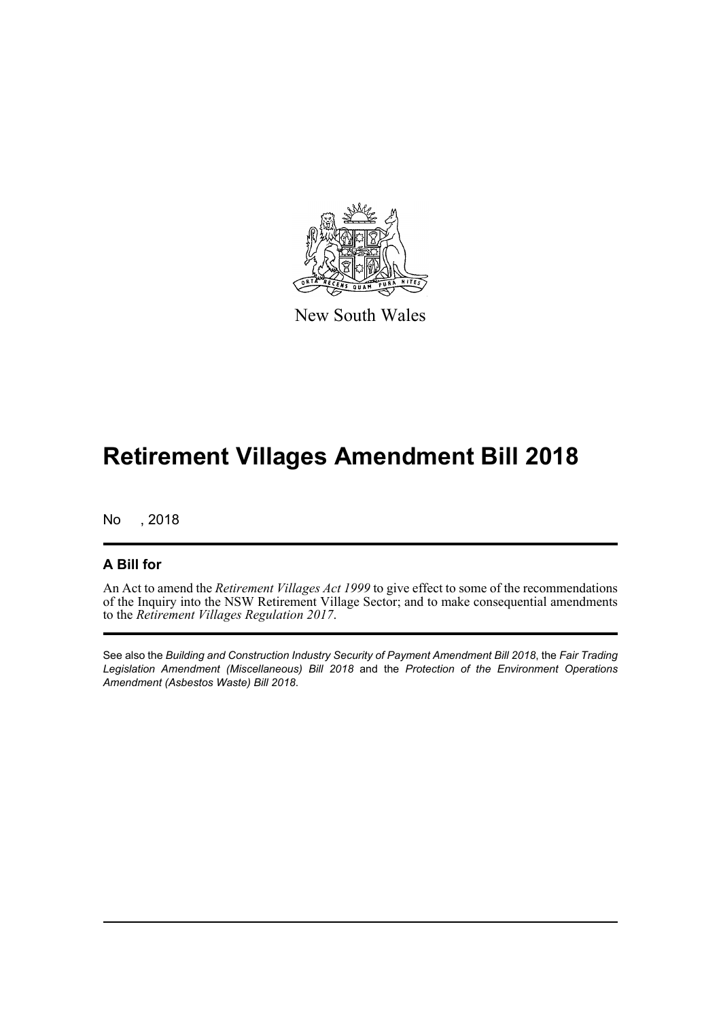

New South Wales

# **Retirement Villages Amendment Bill 2018**

No , 2018

#### **A Bill for**

An Act to amend the *Retirement Villages Act 1999* to give effect to some of the recommendations of the Inquiry into the NSW Retirement Village Sector; and to make consequential amendments to the *Retirement Villages Regulation 2017*.

See also the *Building and Construction Industry Security of Payment Amendment Bill 2018*, the *Fair Trading Legislation Amendment (Miscellaneous) Bill 2018* and the *Protection of the Environment Operations Amendment (Asbestos Waste) Bill 2018*.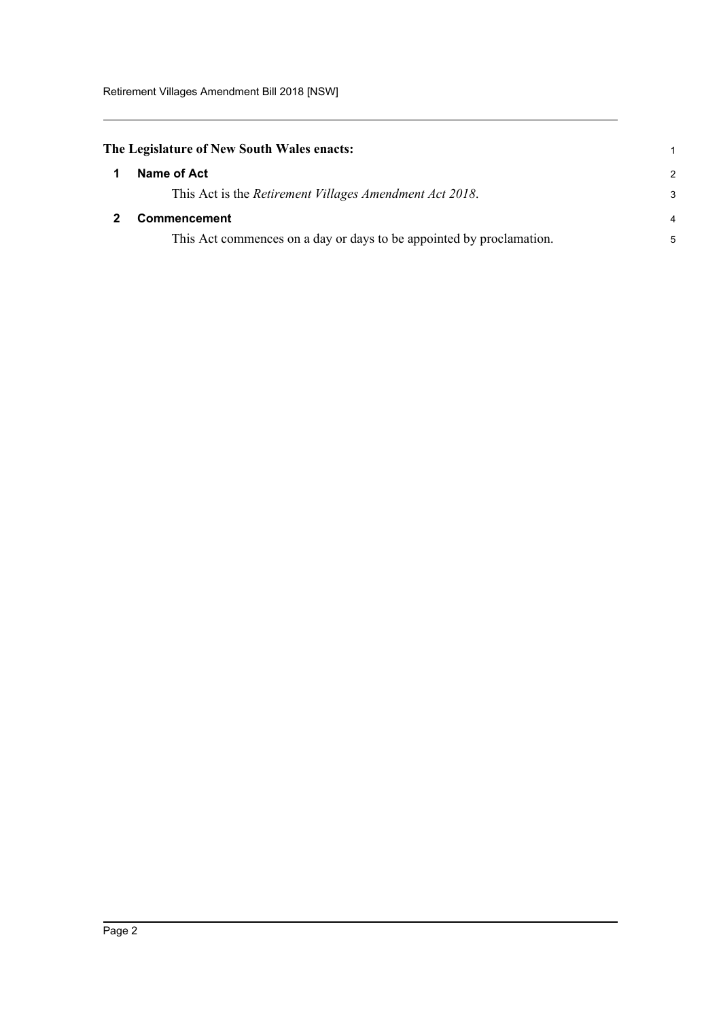### <span id="page-6-0"></span>**The Legislature of New South Wales enacts:** 1

<span id="page-6-1"></span>

| $\mathbf 1$ | Name of Act                                                          | $\mathcal{L}$  |
|-------------|----------------------------------------------------------------------|----------------|
|             | This Act is the Retirement Villages Amendment Act 2018.              | 3              |
|             | <b>Commencement</b>                                                  | $\overline{4}$ |
|             | This Act commences on a day or days to be appointed by proclamation. | 5              |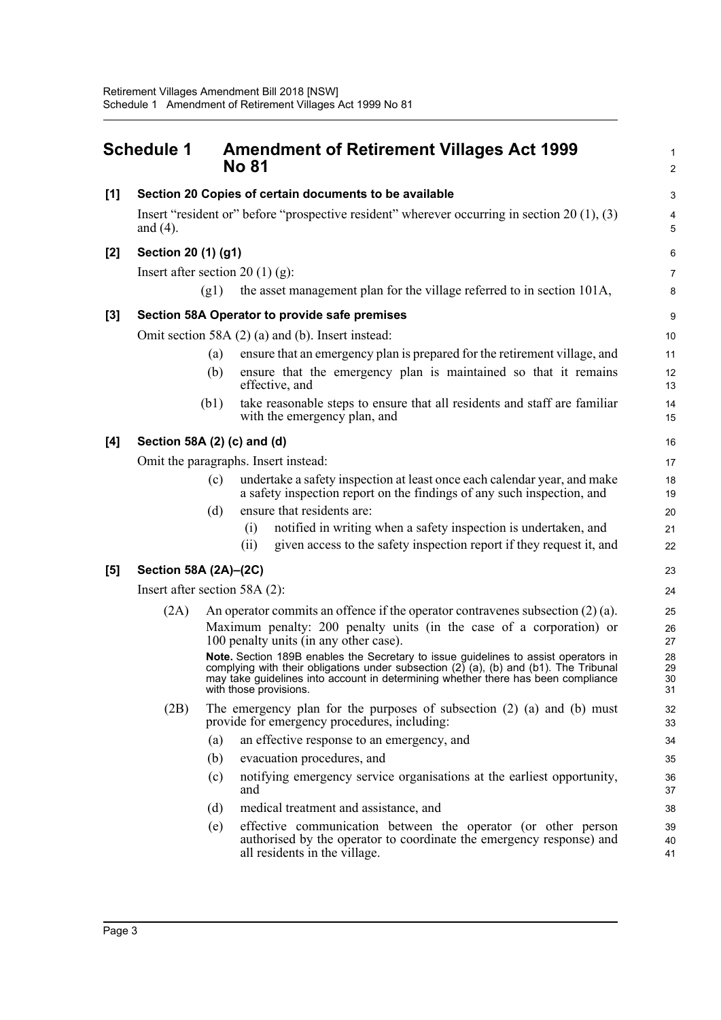<span id="page-7-0"></span>

|       | <b>Schedule 1</b>     | <b>Amendment of Retirement Villages Act 1999</b><br><b>No 81</b>                                                                                                                                                                                                                              | 2                                |
|-------|-----------------------|-----------------------------------------------------------------------------------------------------------------------------------------------------------------------------------------------------------------------------------------------------------------------------------------------|----------------------------------|
| [1]   |                       | Section 20 Copies of certain documents to be available                                                                                                                                                                                                                                        | З                                |
|       | and $(4)$ .           | Insert "resident or" before "prospective resident" wherever occurring in section 20 $(1)$ , $(3)$                                                                                                                                                                                             | 5                                |
| [2]   | Section 20 (1) (g1)   |                                                                                                                                                                                                                                                                                               | $\epsilon$                       |
|       |                       | Insert after section 20 (1) (g):                                                                                                                                                                                                                                                              | 7                                |
|       |                       | the asset management plan for the village referred to in section 101A,<br>(g1)                                                                                                                                                                                                                | ε                                |
| $[3]$ |                       | Section 58A Operator to provide safe premises                                                                                                                                                                                                                                                 | ς                                |
|       |                       | Omit section 58A (2) (a) and (b). Insert instead:                                                                                                                                                                                                                                             | 10                               |
|       |                       | ensure that an emergency plan is prepared for the retirement village, and<br>(a)                                                                                                                                                                                                              | 11                               |
|       |                       | ensure that the emergency plan is maintained so that it remains<br>(b)<br>effective, and                                                                                                                                                                                                      | 12<br>13                         |
|       |                       | take reasonable steps to ensure that all residents and staff are familiar<br>(b1)<br>with the emergency plan, and                                                                                                                                                                             | 14<br>15                         |
| [4]   |                       | Section 58A (2) (c) and (d)                                                                                                                                                                                                                                                                   | 16                               |
|       |                       | Omit the paragraphs. Insert instead:                                                                                                                                                                                                                                                          | 17                               |
|       |                       | undertake a safety inspection at least once each calendar year, and make<br>(c)<br>a safety inspection report on the findings of any such inspection, and                                                                                                                                     | 18<br>19                         |
|       |                       | ensure that residents are:<br>(d)                                                                                                                                                                                                                                                             | 20                               |
|       |                       | notified in writing when a safety inspection is undertaken, and<br>(i)                                                                                                                                                                                                                        | 21                               |
|       |                       | given access to the safety inspection report if they request it, and<br>(ii)                                                                                                                                                                                                                  | 22                               |
| [5]   | Section 58A (2A)-(2C) |                                                                                                                                                                                                                                                                                               | 23                               |
|       |                       | Insert after section $58A(2)$ :                                                                                                                                                                                                                                                               | 24                               |
|       | (2A)                  | An operator commits an offence if the operator contravenes subsection $(2)$ (a).                                                                                                                                                                                                              | 25                               |
|       |                       | Maximum penalty: 200 penalty units (in the case of a corporation) or<br>100 penalty units (in any other case).                                                                                                                                                                                | 26<br>27                         |
|       |                       | Note. Section 189B enables the Secretary to issue guidelines to assist operators in<br>complying with their obligations under subsection $(2)$ (a), (b) and (b1). The Tribunal<br>may take guidelines into account in determining whether there has been compliance<br>with those provisions. | 28<br>29<br>3 <sub>C</sub><br>31 |
|       | (2B)                  | The emergency plan for the purposes of subsection $(2)$ $(a)$ and $(b)$ must<br>provide for emergency procedures, including:                                                                                                                                                                  | 32<br>33                         |
|       |                       | an effective response to an emergency, and<br>(a)                                                                                                                                                                                                                                             | 34                               |
|       |                       | evacuation procedures, and<br>(b)                                                                                                                                                                                                                                                             | 35                               |
|       |                       | notifying emergency service organisations at the earliest opportunity,<br>(c)<br>and                                                                                                                                                                                                          | 36<br>37                         |
|       |                       | (d)<br>medical treatment and assistance, and                                                                                                                                                                                                                                                  | 38                               |
|       |                       | effective communication between the operator (or other person<br>(e)<br>authorised by the operator to coordinate the emergency response) and<br>all residents in the village.                                                                                                                 | 39<br>40<br>41                   |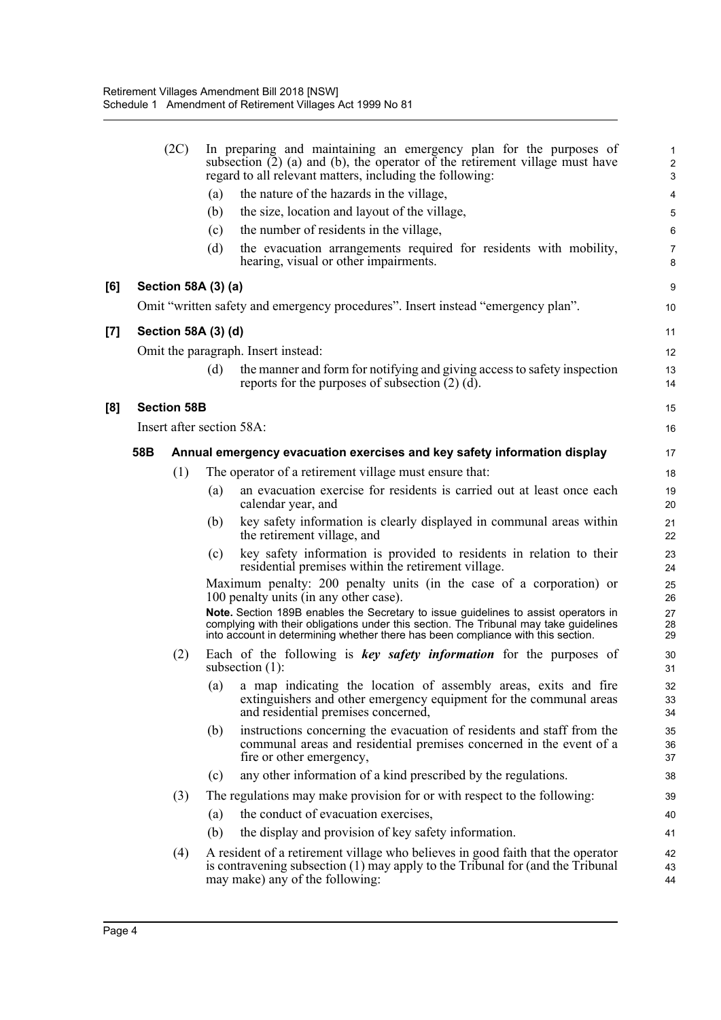|                   |     | (2C)                      |     | In preparing and maintaining an emergency plan for the purposes of<br>subsection (2) (a) and (b), the operator of the retirement village must have<br>regard to all relevant matters, including the following:                                                   | 2<br>З               |
|-------------------|-----|---------------------------|-----|------------------------------------------------------------------------------------------------------------------------------------------------------------------------------------------------------------------------------------------------------------------|----------------------|
|                   |     |                           | (a) | the nature of the hazards in the village,                                                                                                                                                                                                                        |                      |
|                   |     |                           | (b) | the size, location and layout of the village,                                                                                                                                                                                                                    |                      |
|                   |     |                           | (c) | the number of residents in the village,                                                                                                                                                                                                                          | Е                    |
|                   |     |                           | (d) | the evacuation arrangements required for residents with mobility,<br>hearing, visual or other impairments.                                                                                                                                                       |                      |
| [6]               |     | Section 58A (3) (a)       |     |                                                                                                                                                                                                                                                                  | ς                    |
|                   |     |                           |     | Omit "written safety and emergency procedures". Insert instead "emergency plan".                                                                                                                                                                                 | 10                   |
| $\left[ 7\right]$ |     | Section 58A (3) (d)       |     |                                                                                                                                                                                                                                                                  | 11                   |
|                   |     |                           |     | Omit the paragraph. Insert instead:                                                                                                                                                                                                                              | 12                   |
|                   |     |                           | (d) | the manner and form for notifying and giving access to safety inspection<br>reports for the purposes of subsection $(2)$ $(d)$ .                                                                                                                                 | 13<br>14             |
| [8]               |     | <b>Section 58B</b>        |     |                                                                                                                                                                                                                                                                  | 15                   |
|                   |     | Insert after section 58A: |     |                                                                                                                                                                                                                                                                  | 16                   |
|                   | 58B |                           |     | Annual emergency evacuation exercises and key safety information display                                                                                                                                                                                         | 17                   |
|                   |     | (1)                       |     | The operator of a retirement village must ensure that:                                                                                                                                                                                                           | 18                   |
|                   |     |                           | (a) | an evacuation exercise for residents is carried out at least once each<br>calendar year, and                                                                                                                                                                     | 19<br>20             |
|                   |     |                           | (b) | key safety information is clearly displayed in communal areas within<br>the retirement village, and                                                                                                                                                              | 21<br>22             |
|                   |     |                           | (c) | key safety information is provided to residents in relation to their<br>residential premises within the retirement village.                                                                                                                                      | 23<br>24             |
|                   |     |                           |     | Maximum penalty: 200 penalty units (in the case of a corporation) or<br>100 penalty units (in any other case).                                                                                                                                                   | 25<br>26             |
|                   |     |                           |     | Note. Section 189B enables the Secretary to issue guidelines to assist operators in<br>complying with their obligations under this section. The Tribunal may take guidelines<br>into account in determining whether there has been compliance with this section. | 27<br>28<br>29       |
|                   |     | (2)                       |     | Each of the following is key safety information for the purposes of<br>subsection $(1)$ :                                                                                                                                                                        | 3 <sub>C</sub><br>31 |
|                   |     |                           | (a) | a map indicating the location of assembly areas, exits and fire<br>extinguishers and other emergency equipment for the communal areas<br>and residential premises concerned,                                                                                     | 32<br>33<br>34       |
|                   |     |                           | (b) | instructions concerning the evacuation of residents and staff from the<br>communal areas and residential premises concerned in the event of a<br>fire or other emergency,                                                                                        | 35<br>36<br>37       |
|                   |     |                           | (c) | any other information of a kind prescribed by the regulations.                                                                                                                                                                                                   | 38                   |
|                   |     | (3)                       |     | The regulations may make provision for or with respect to the following:                                                                                                                                                                                         | 39                   |
|                   |     |                           | (a) | the conduct of evacuation exercises,                                                                                                                                                                                                                             | 40                   |
|                   |     |                           | (b) | the display and provision of key safety information.                                                                                                                                                                                                             | 41                   |
|                   |     | (4)                       |     | A resident of a retirement village who believes in good faith that the operator<br>is contravening subsection (1) may apply to the Tribunal for (and the Tribunal<br>may make) any of the following:                                                             | 42<br>43<br>44       |
|                   |     |                           |     |                                                                                                                                                                                                                                                                  |                      |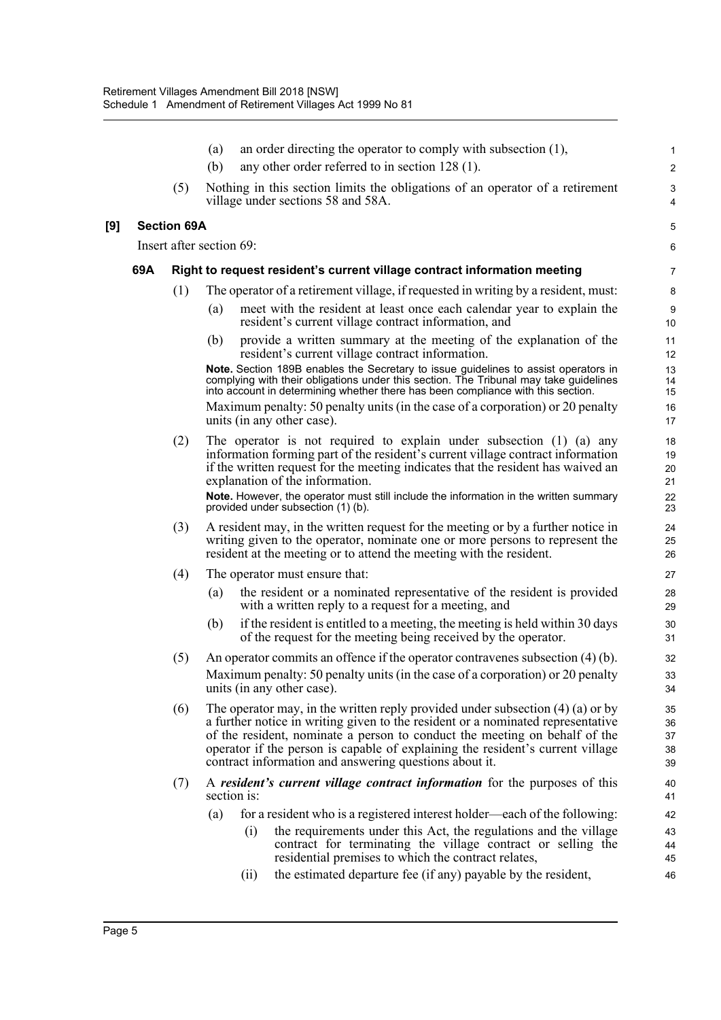|     |     |                    | (a)                      |      | an order directing the operator to comply with subsection $(1)$ ,                                                                                                                                                                                                                                                                                                                             | 1                              |
|-----|-----|--------------------|--------------------------|------|-----------------------------------------------------------------------------------------------------------------------------------------------------------------------------------------------------------------------------------------------------------------------------------------------------------------------------------------------------------------------------------------------|--------------------------------|
|     |     |                    | (b)                      |      | any other order referred to in section 128 (1).                                                                                                                                                                                                                                                                                                                                               | $\overline{2}$                 |
|     |     | (5)                |                          |      | Nothing in this section limits the obligations of an operator of a retirement<br>village under sections 58 and 58A.                                                                                                                                                                                                                                                                           | $\ensuremath{\mathsf{3}}$<br>4 |
| [9] |     | <b>Section 69A</b> |                          |      |                                                                                                                                                                                                                                                                                                                                                                                               | 5                              |
|     |     |                    | Insert after section 69: |      |                                                                                                                                                                                                                                                                                                                                                                                               | 6                              |
|     | 69A |                    |                          |      | Right to request resident's current village contract information meeting                                                                                                                                                                                                                                                                                                                      | 7                              |
|     |     | (1)                |                          |      | The operator of a retirement village, if requested in writing by a resident, must:                                                                                                                                                                                                                                                                                                            | 8                              |
|     |     |                    | (a)                      |      | meet with the resident at least once each calendar year to explain the<br>resident's current village contract information, and                                                                                                                                                                                                                                                                | $9\,$<br>10                    |
|     |     |                    | (b)                      |      | provide a written summary at the meeting of the explanation of the<br>resident's current village contract information.                                                                                                                                                                                                                                                                        | 11<br>12                       |
|     |     |                    |                          |      | Note. Section 189B enables the Secretary to issue guidelines to assist operators in<br>complying with their obligations under this section. The Tribunal may take guidelines<br>into account in determining whether there has been compliance with this section.                                                                                                                              | 13<br>14<br>15                 |
|     |     |                    |                          |      | Maximum penalty: 50 penalty units (in the case of a corporation) or 20 penalty<br>units (in any other case).                                                                                                                                                                                                                                                                                  | 16<br>17                       |
|     |     | (2)                |                          |      | The operator is not required to explain under subsection (1) (a) any<br>information forming part of the resident's current village contract information<br>if the written request for the meeting indicates that the resident has waived an<br>explanation of the information.                                                                                                                | 18<br>19<br>20<br>21           |
|     |     |                    |                          |      | Note. However, the operator must still include the information in the written summary<br>provided under subsection (1) (b).                                                                                                                                                                                                                                                                   | 22<br>23                       |
|     |     | (3)                |                          |      | A resident may, in the written request for the meeting or by a further notice in<br>writing given to the operator, nominate one or more persons to represent the<br>resident at the meeting or to attend the meeting with the resident.                                                                                                                                                       | 24<br>25<br>26                 |
|     |     | (4)                |                          |      | The operator must ensure that:                                                                                                                                                                                                                                                                                                                                                                | 27                             |
|     |     |                    | (a)                      |      | the resident or a nominated representative of the resident is provided<br>with a written reply to a request for a meeting, and                                                                                                                                                                                                                                                                | 28<br>29                       |
|     |     |                    | (b)                      |      | if the resident is entitled to a meeting, the meeting is held within 30 days<br>of the request for the meeting being received by the operator.                                                                                                                                                                                                                                                | 30<br>31                       |
|     |     | (5)                |                          |      | An operator commits an offence if the operator contravenes subsection $(4)$ (b).<br>Maximum penalty: 50 penalty units (in the case of a corporation) or 20 penalty<br>units (in any other case).                                                                                                                                                                                              | 32<br>33<br>34                 |
|     |     | (6)                |                          |      | The operator may, in the written reply provided under subsection $(4)$ (a) or by<br>a further notice in writing given to the resident or a nominated representative<br>of the resident, nominate a person to conduct the meeting on behalf of the<br>operator if the person is capable of explaining the resident's current village<br>contract information and answering questions about it. | 35<br>36<br>37<br>38<br>39     |
|     |     | (7)                | section is:              |      | A resident's current village contract information for the purposes of this                                                                                                                                                                                                                                                                                                                    | 40<br>41                       |
|     |     |                    | (a)                      |      | for a resident who is a registered interest holder—each of the following:                                                                                                                                                                                                                                                                                                                     | 42                             |
|     |     |                    |                          | (i)  | the requirements under this Act, the regulations and the village<br>contract for terminating the village contract or selling the<br>residential premises to which the contract relates,                                                                                                                                                                                                       | 43<br>44<br>45                 |
|     |     |                    |                          | (ii) | the estimated departure fee (if any) payable by the resident,                                                                                                                                                                                                                                                                                                                                 | 46                             |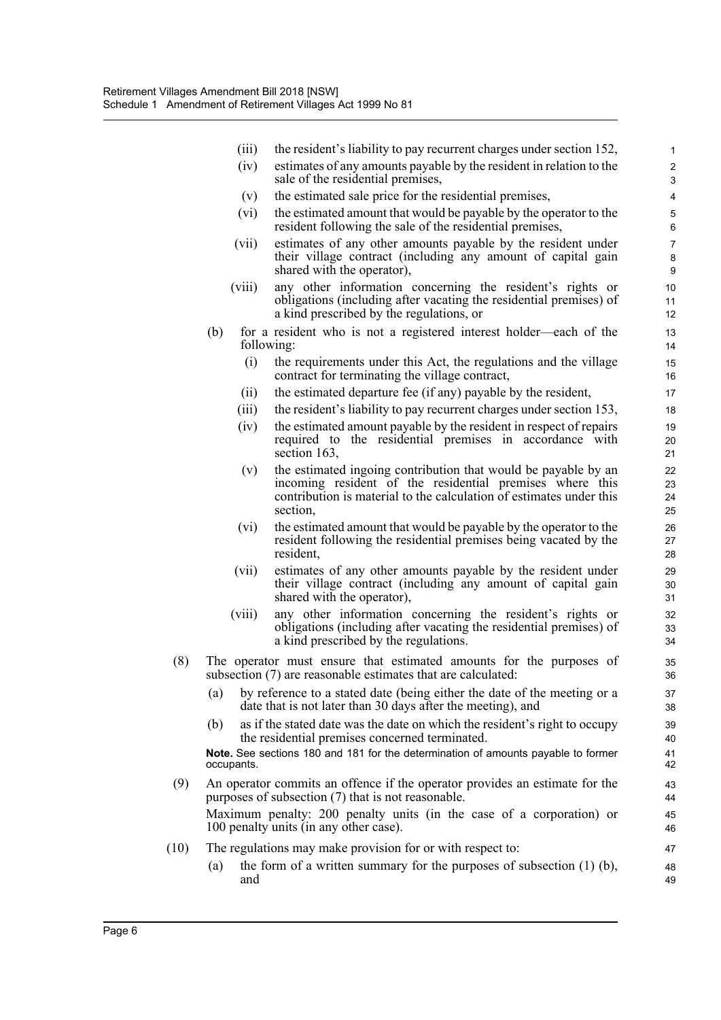|      | (iii)      | the resident's liability to pay recurrent charges under section 152,                                                                                                                                          | 1                            |
|------|------------|---------------------------------------------------------------------------------------------------------------------------------------------------------------------------------------------------------------|------------------------------|
|      | (iv)       | estimates of any amounts payable by the resident in relation to the<br>sale of the residential premises,                                                                                                      | $\overline{\mathbf{c}}$<br>3 |
|      | (v)        | the estimated sale price for the residential premises,                                                                                                                                                        | 4                            |
|      | (vi)       | the estimated amount that would be payable by the operator to the<br>resident following the sale of the residential premises,                                                                                 | 5<br>6                       |
|      | (vii)      | estimates of any other amounts payable by the resident under<br>their village contract (including any amount of capital gain<br>shared with the operator),                                                    | 7<br>8<br>9                  |
|      | (viii)     | any other information concerning the resident's rights or<br>obligations (including after vacating the residential premises) of<br>a kind prescribed by the regulations, or                                   | 10<br>11<br>12               |
|      | (b)        | for a resident who is not a registered interest holder—each of the<br>following:                                                                                                                              | 13<br>14                     |
|      | (i)        | the requirements under this Act, the regulations and the village<br>contract for terminating the village contract,                                                                                            | 15<br>16                     |
|      | (ii)       | the estimated departure fee (if any) payable by the resident,                                                                                                                                                 | 17                           |
|      | (iii)      | the resident's liability to pay recurrent charges under section 153,                                                                                                                                          | 18                           |
|      | (iv)       | the estimated amount payable by the resident in respect of repairs<br>required to the residential premises in accordance with<br>section 163,                                                                 | 19<br>20<br>21               |
|      | (v)        | the estimated ingoing contribution that would be payable by an<br>incoming resident of the residential premises where this<br>contribution is material to the calculation of estimates under this<br>section, | 22<br>23<br>24<br>25         |
|      | (vi)       | the estimated amount that would be payable by the operator to the<br>resident following the residential premises being vacated by the<br>resident,                                                            | 26<br>27<br>28               |
|      | (vii)      | estimates of any other amounts payable by the resident under<br>their village contract (including any amount of capital gain<br>shared with the operator),                                                    | 29<br>30<br>31               |
|      | (viii)     | any other information concerning the resident's rights or<br>obligations (including after vacating the residential premises) of<br>a kind prescribed by the regulations.                                      | 32<br>33<br>34               |
| (8)  |            | The operator must ensure that estimated amounts for the purposes of<br>subsection (7) are reasonable estimates that are calculated:                                                                           | 35<br>36                     |
|      | (a)        | by reference to a stated date (being either the date of the meeting or a<br>date that is not later than 30 days after the meeting), and                                                                       | 37<br>38                     |
|      | (b)        | as if the stated date was the date on which the resident's right to occupy<br>the residential premises concerned terminated.                                                                                  | 39<br>40                     |
|      | occupants. | Note. See sections 180 and 181 for the determination of amounts payable to former                                                                                                                             | 41<br>42                     |
| (9)  |            | An operator commits an offence if the operator provides an estimate for the<br>purposes of subsection (7) that is not reasonable.                                                                             | 43<br>44                     |
|      |            | Maximum penalty: 200 penalty units (in the case of a corporation) or<br>100 penalty units (in any other case).                                                                                                | 45<br>46                     |
| (10) |            | The regulations may make provision for or with respect to:                                                                                                                                                    | 47                           |
|      | (a)<br>and | the form of a written summary for the purposes of subsection $(1)$ (b),                                                                                                                                       | 48<br>49                     |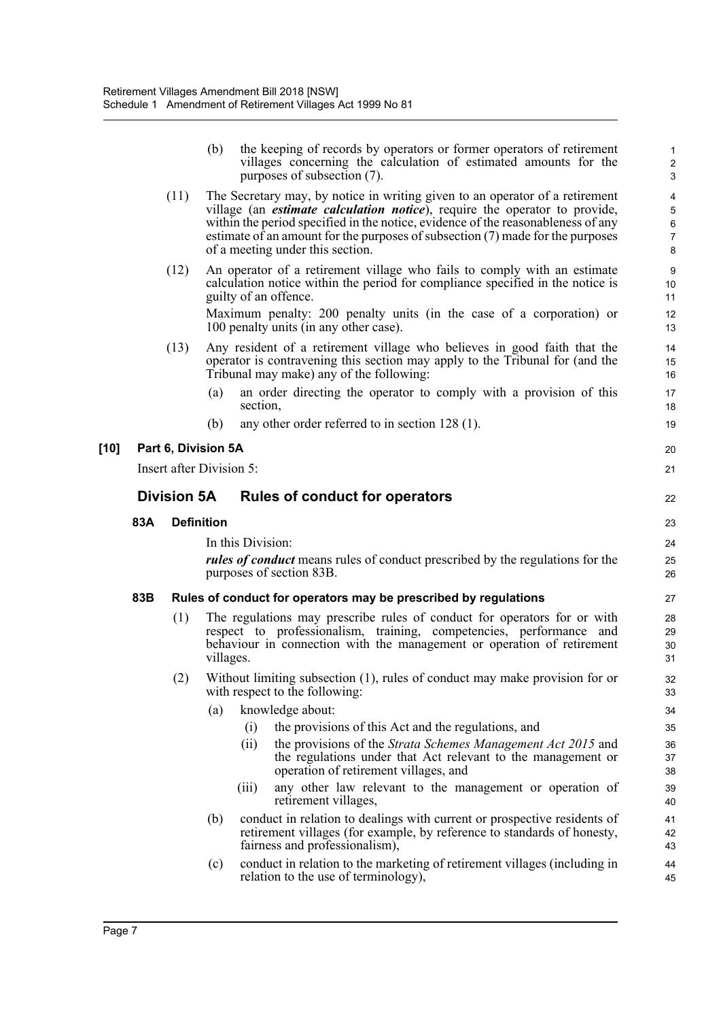|      |     |                          | (b)       |                       | the keeping of records by operators or former operators of retirement<br>villages concerning the calculation of estimated amounts for the<br>purposes of subsection (7).                                                                                                                                                                                                       | 2<br>G                           |
|------|-----|--------------------------|-----------|-----------------------|--------------------------------------------------------------------------------------------------------------------------------------------------------------------------------------------------------------------------------------------------------------------------------------------------------------------------------------------------------------------------------|----------------------------------|
|      |     | (11)                     |           |                       | The Secretary may, by notice in writing given to an operator of a retirement<br>village (an <i>estimate calculation notice</i> ), require the operator to provide,<br>within the period specified in the notice, evidence of the reasonableness of any<br>estimate of an amount for the purposes of subsection $(7)$ made for the purposes<br>of a meeting under this section. | $\epsilon$<br>7<br>ε             |
|      |     | (12)                     |           | guilty of an offence. | An operator of a retirement village who fails to comply with an estimate<br>calculation notice within the period for compliance specified in the notice is                                                                                                                                                                                                                     | ς<br>10<br>11                    |
|      |     |                          |           |                       | Maximum penalty: 200 penalty units (in the case of a corporation) or<br>100 penalty units (in any other case).                                                                                                                                                                                                                                                                 | 12<br>13                         |
|      |     | (13)                     |           |                       | Any resident of a retirement village who believes in good faith that the<br>operator is contravening this section may apply to the Tribunal for (and the<br>Tribunal may make) any of the following:                                                                                                                                                                           | 14<br>15<br>16                   |
|      |     |                          | (a)       | section,              | an order directing the operator to comply with a provision of this                                                                                                                                                                                                                                                                                                             | 17<br>18                         |
|      |     |                          | (b)       |                       | any other order referred to in section $128(1)$ .                                                                                                                                                                                                                                                                                                                              | 19                               |
| [10] |     | Part 6, Division 5A      |           |                       |                                                                                                                                                                                                                                                                                                                                                                                | 20                               |
|      |     | Insert after Division 5: |           |                       |                                                                                                                                                                                                                                                                                                                                                                                | 21                               |
|      |     | <b>Division 5A</b>       |           |                       | <b>Rules of conduct for operators</b>                                                                                                                                                                                                                                                                                                                                          | 22                               |
|      |     |                          |           |                       |                                                                                                                                                                                                                                                                                                                                                                                |                                  |
|      | 83A | <b>Definition</b>        |           |                       |                                                                                                                                                                                                                                                                                                                                                                                | 23                               |
|      |     |                          |           | In this Division:     |                                                                                                                                                                                                                                                                                                                                                                                | 24                               |
|      |     |                          |           |                       | <i>rules of conduct</i> means rules of conduct prescribed by the regulations for the<br>purposes of section 83B.                                                                                                                                                                                                                                                               | 25<br>26                         |
|      | 83B |                          |           |                       | Rules of conduct for operators may be prescribed by regulations                                                                                                                                                                                                                                                                                                                | 27                               |
|      |     | (1)                      | villages. |                       | The regulations may prescribe rules of conduct for operators for or with<br>respect to professionalism, training, competencies, performance and<br>behaviour in connection with the management or operation of retirement                                                                                                                                                      | 28<br>29<br>3 <sub>C</sub><br>31 |
|      |     | (2)                      |           |                       | Without limiting subsection (1), rules of conduct may make provision for or<br>with respect to the following:                                                                                                                                                                                                                                                                  | 32<br>33                         |
|      |     |                          | (a)       |                       | knowledge about:                                                                                                                                                                                                                                                                                                                                                               | 34                               |
|      |     |                          |           | (i)                   | the provisions of this Act and the regulations, and                                                                                                                                                                                                                                                                                                                            | 35                               |
|      |     |                          |           | (i)                   | the provisions of the <i>Strata Schemes Management Act 2015</i> and<br>the regulations under that Act relevant to the management or<br>operation of retirement villages, and                                                                                                                                                                                                   | 36<br>37<br>38                   |
|      |     |                          |           | (iii)                 | any other law relevant to the management or operation of<br>retirement villages,                                                                                                                                                                                                                                                                                               | 39<br>40                         |
|      |     |                          | (b)       |                       | conduct in relation to dealings with current or prospective residents of<br>retirement villages (for example, by reference to standards of honesty,<br>fairness and professionalism),                                                                                                                                                                                          | 41<br>42<br>43                   |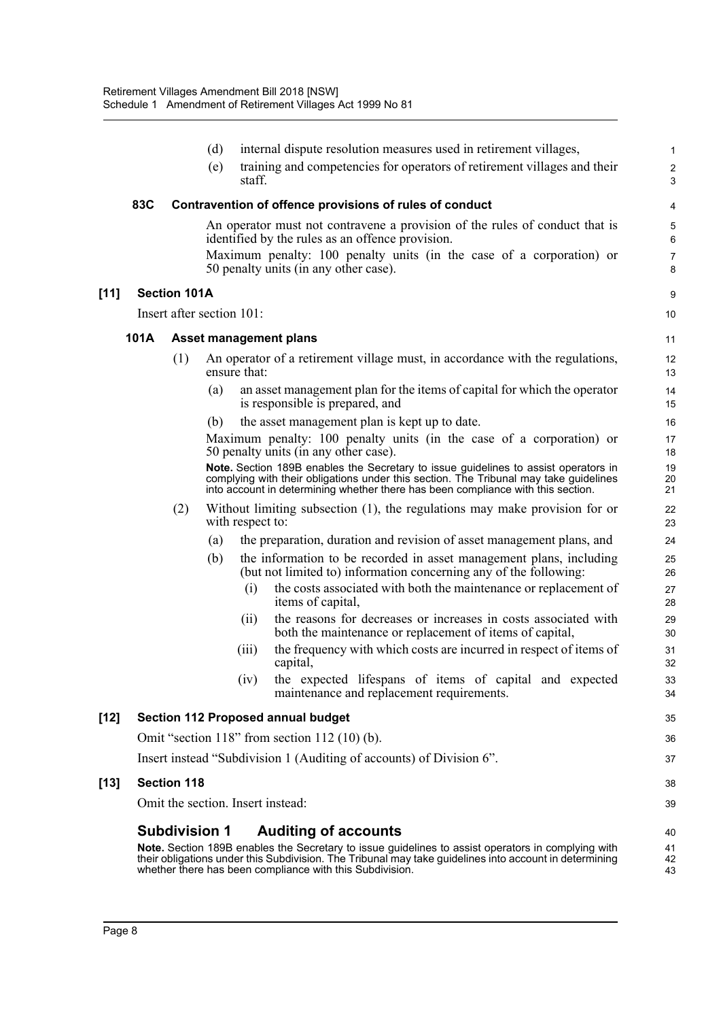|        |      |                           | (d) |                  | internal dispute resolution measures used in retirement villages,                                                                                                                                                                                                        |                            |
|--------|------|---------------------------|-----|------------------|--------------------------------------------------------------------------------------------------------------------------------------------------------------------------------------------------------------------------------------------------------------------------|----------------------------|
|        |      |                           | (e) | staff.           | training and competencies for operators of retirement villages and their                                                                                                                                                                                                 | З                          |
|        | 83C  |                           |     |                  | Contravention of offence provisions of rules of conduct                                                                                                                                                                                                                  |                            |
|        |      |                           |     |                  | An operator must not contravene a provision of the rules of conduct that is<br>identified by the rules as an offence provision.                                                                                                                                          | Е                          |
|        |      |                           |     |                  | Maximum penalty: 100 penalty units (in the case of a corporation) or<br>50 penalty units (in any other case).                                                                                                                                                            | ε                          |
| $[11]$ |      | <b>Section 101A</b>       |     |                  |                                                                                                                                                                                                                                                                          | ς                          |
|        |      | Insert after section 101: |     |                  |                                                                                                                                                                                                                                                                          | 10                         |
|        | 101A |                           |     |                  | <b>Asset management plans</b>                                                                                                                                                                                                                                            | 11                         |
|        |      | (1)                       |     | ensure that:     | An operator of a retirement village must, in accordance with the regulations,                                                                                                                                                                                            | 12<br>13                   |
|        |      |                           | (a) |                  | an asset management plan for the items of capital for which the operator<br>is responsible is prepared, and                                                                                                                                                              | 14<br>15                   |
|        |      |                           | (b) |                  | the asset management plan is kept up to date.                                                                                                                                                                                                                            | 16                         |
|        |      |                           |     |                  | Maximum penalty: 100 penalty units (in the case of a corporation) or<br>50 penalty units (in any other case).                                                                                                                                                            | 17<br>18                   |
|        |      |                           |     |                  | Note. Section 189B enables the Secretary to issue guidelines to assist operators in<br>complying with their obligations under this section. The Tribunal may take guidelines<br>into account in determining whether there has been compliance with this section.         | 1 <sup>c</sup><br>20<br>21 |
|        |      | (2)                       |     | with respect to: | Without limiting subsection (1), the regulations may make provision for or                                                                                                                                                                                               | 22<br>23                   |
|        |      |                           | (a) |                  | the preparation, duration and revision of asset management plans, and                                                                                                                                                                                                    | 24                         |
|        |      |                           | (b) |                  | the information to be recorded in asset management plans, including<br>(but not limited to) information concerning any of the following:                                                                                                                                 | 25<br>26                   |
|        |      |                           |     | (i)              | the costs associated with both the maintenance or replacement of<br>items of capital,                                                                                                                                                                                    | 27<br>28                   |
|        |      |                           |     | (i)              | the reasons for decreases or increases in costs associated with<br>both the maintenance or replacement of items of capital,                                                                                                                                              | 29<br>30                   |
|        |      |                           |     | (iii)            | the frequency with which costs are incurred in respect of items of<br>capital,                                                                                                                                                                                           | 31<br>32                   |
|        |      |                           |     | (iv)             | the expected lifespans of items of capital and expected<br>maintenance and replacement requirements.                                                                                                                                                                     | 33<br>34                   |
| [12]   |      |                           |     |                  | Section 112 Proposed annual budget                                                                                                                                                                                                                                       | 35                         |
|        |      |                           |     |                  | Omit "section 118" from section 112 $(10)$ (b).                                                                                                                                                                                                                          | 36                         |
|        |      |                           |     |                  | Insert instead "Subdivision 1 (Auditing of accounts) of Division 6".                                                                                                                                                                                                     | 37                         |
| [13]   |      | <b>Section 118</b>        |     |                  |                                                                                                                                                                                                                                                                          | 38                         |
|        |      |                           |     |                  | Omit the section. Insert instead:                                                                                                                                                                                                                                        | 39                         |
|        |      | <b>Subdivision 1</b>      |     |                  | <b>Auditing of accounts</b>                                                                                                                                                                                                                                              | 40                         |
|        |      |                           |     |                  | Note. Section 189B enables the Secretary to issue guidelines to assist operators in complying with<br>their obligations under this Subdivision. The Tribunal may take guidelines into account in determining<br>whether there has been compliance with this Subdivision. | 41<br>42<br>43             |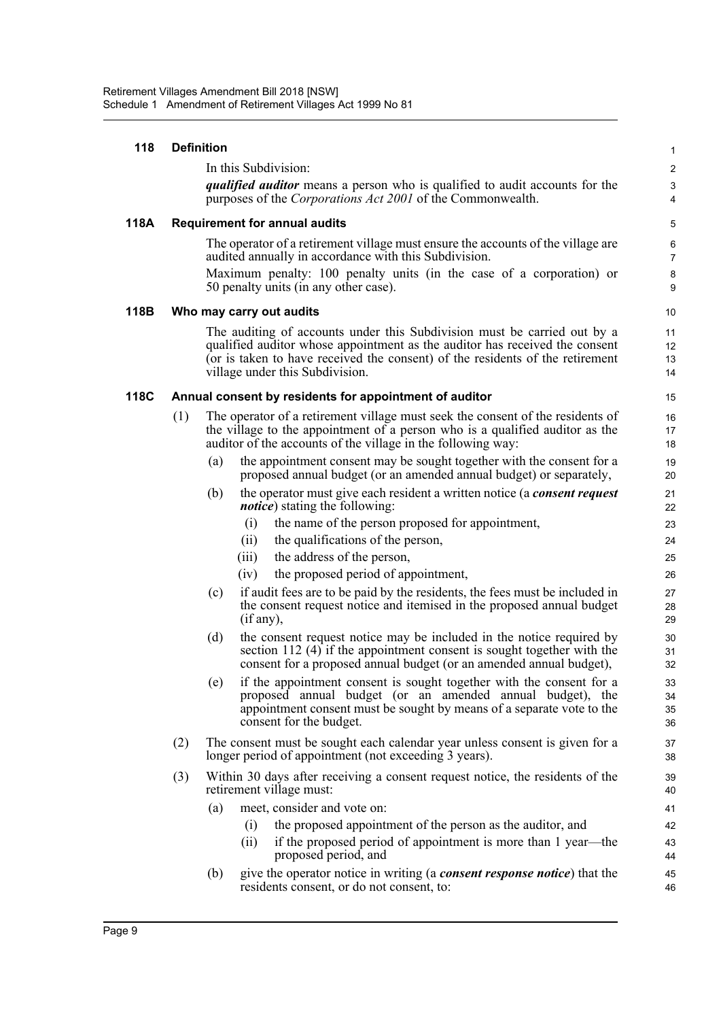| 118  | <b>Definition</b> |                                                                                                                                                                                                                                                                             |                            |  |  |  |
|------|-------------------|-----------------------------------------------------------------------------------------------------------------------------------------------------------------------------------------------------------------------------------------------------------------------------|----------------------------|--|--|--|
|      |                   | In this Subdivision:                                                                                                                                                                                                                                                        | 2                          |  |  |  |
|      |                   | <i>qualified auditor</i> means a person who is qualified to audit accounts for the<br>purposes of the <i>Corporations Act 2001</i> of the Commonwealth.                                                                                                                     | G<br>4                     |  |  |  |
| 118A |                   | <b>Requirement for annual audits</b>                                                                                                                                                                                                                                        | Ę                          |  |  |  |
|      |                   | The operator of a retirement village must ensure the accounts of the village are<br>audited annually in accordance with this Subdivision.<br>Maximum penalty: 100 penalty units (in the case of a corporation) or<br>50 penalty units (in any other case).                  | $\epsilon$<br>7<br>ε<br>ς  |  |  |  |
| 118B |                   | Who may carry out audits                                                                                                                                                                                                                                                    | 1 <sup>C</sup>             |  |  |  |
|      |                   | The auditing of accounts under this Subdivision must be carried out by a<br>qualified auditor whose appointment as the auditor has received the consent<br>(or is taken to have received the consent) of the residents of the retirement<br>village under this Subdivision. | 11<br>12<br>13<br>14       |  |  |  |
| 118C |                   | Annual consent by residents for appointment of auditor                                                                                                                                                                                                                      | 15                         |  |  |  |
|      | (1)               | The operator of a retirement village must seek the consent of the residents of<br>the village to the appointment of a person who is a qualified auditor as the<br>auditor of the accounts of the village in the following way:                                              | 16<br>17<br>18             |  |  |  |
|      |                   | the appointment consent may be sought together with the consent for a<br>(a)<br>proposed annual budget (or an amended annual budget) or separately,                                                                                                                         | 19<br>20                   |  |  |  |
|      |                   | the operator must give each resident a written notice (a <i>consent request</i><br>(b)<br><i>notice</i> ) stating the following:                                                                                                                                            | 21<br>22                   |  |  |  |
|      |                   | the name of the person proposed for appointment,<br>(i)                                                                                                                                                                                                                     | 23                         |  |  |  |
|      |                   | the qualifications of the person,<br>(i)                                                                                                                                                                                                                                    | 24                         |  |  |  |
|      |                   | the address of the person,<br>(iii)                                                                                                                                                                                                                                         | 25                         |  |  |  |
|      |                   | the proposed period of appointment,<br>(iv)<br>if audit fees are to be paid by the residents, the fees must be included in<br>(c)<br>the consent request notice and itemised in the proposed annual budget<br>(if any),                                                     | 26<br>27<br>28<br>29       |  |  |  |
|      |                   | (d)<br>the consent request notice may be included in the notice required by<br>section 112 $(4)$ if the appointment consent is sought together with the<br>consent for a proposed annual budget (or an amended annual budget),                                              | 3 <sub>C</sub><br>31<br>32 |  |  |  |
|      |                   | if the appointment consent is sought together with the consent for a<br>(e)<br>proposed annual budget (or an amended annual budget), the<br>appointment consent must be sought by means of a separate vote to the<br>consent for the budget.                                | 33<br>34<br>35<br>36       |  |  |  |
|      | (2)               | The consent must be sought each calendar year unless consent is given for a<br>longer period of appointment (not exceeding 3 years).                                                                                                                                        | 37<br>38                   |  |  |  |
|      | (3)               | Within 30 days after receiving a consent request notice, the residents of the<br>retirement village must:                                                                                                                                                                   | 39<br>40                   |  |  |  |
|      |                   | meet, consider and vote on:<br>(a)                                                                                                                                                                                                                                          | 41                         |  |  |  |
|      |                   | the proposed appointment of the person as the auditor, and<br>(i)                                                                                                                                                                                                           | 42                         |  |  |  |
|      |                   | if the proposed period of appointment is more than 1 year—the<br>(ii)<br>proposed period, and                                                                                                                                                                               | 43<br>44                   |  |  |  |
|      |                   | give the operator notice in writing (a <i>consent response notice</i> ) that the<br>(b)<br>residents consent, or do not consent, to:                                                                                                                                        | 45<br>46                   |  |  |  |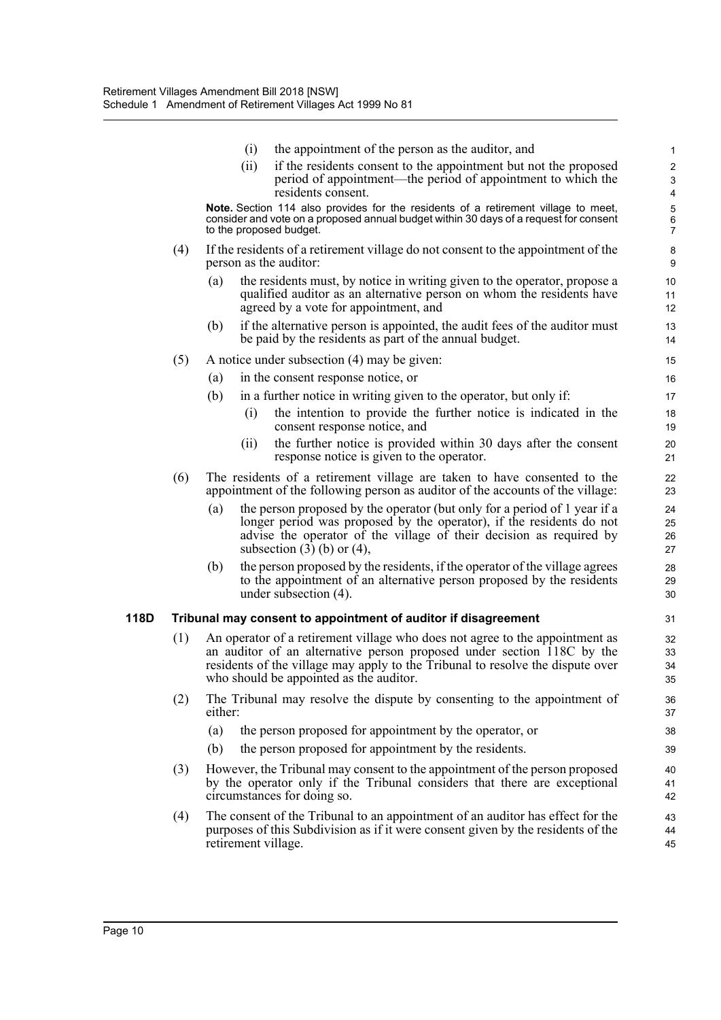|      |     | (i)                     | the appointment of the person as the auditor, and                                                                                                                                                                                                                                   |                            |
|------|-----|-------------------------|-------------------------------------------------------------------------------------------------------------------------------------------------------------------------------------------------------------------------------------------------------------------------------------|----------------------------|
|      |     | (ii)                    | if the residents consent to the appointment but not the proposed<br>period of appointment—the period of appointment to which the                                                                                                                                                    | 2<br>G                     |
|      |     |                         | residents consent.<br>Note. Section 114 also provides for the residents of a retirement village to meet,                                                                                                                                                                            | $\overline{\mathcal{L}}$   |
|      |     | to the proposed budget. | consider and vote on a proposed annual budget within 30 days of a request for consent                                                                                                                                                                                               | 5<br>7<br>7                |
|      | (4) | person as the auditor:  | If the residents of a retirement village do not consent to the appointment of the                                                                                                                                                                                                   | ε<br>ς                     |
|      |     | (a)                     | the residents must, by notice in writing given to the operator, propose a<br>qualified auditor as an alternative person on whom the residents have<br>agreed by a vote for appointment, and                                                                                         | 10<br>11<br>12             |
|      |     | (b)                     | if the alternative person is appointed, the audit fees of the auditor must<br>be paid by the residents as part of the annual budget.                                                                                                                                                | 13<br>14                   |
|      | (5) |                         | A notice under subsection (4) may be given:                                                                                                                                                                                                                                         | 15                         |
|      |     | (a)                     | in the consent response notice, or                                                                                                                                                                                                                                                  | 16                         |
|      |     | (b)                     | in a further notice in writing given to the operator, but only if:                                                                                                                                                                                                                  | 17                         |
|      |     | (i)                     | the intention to provide the further notice is indicated in the<br>consent response notice, and                                                                                                                                                                                     | 18<br>1 <sup>c</sup>       |
|      |     | (ii)                    | the further notice is provided within 30 days after the consent<br>response notice is given to the operator.                                                                                                                                                                        | 20<br>21                   |
|      | (6) |                         | The residents of a retirement village are taken to have consented to the<br>appointment of the following person as auditor of the accounts of the village:                                                                                                                          | 22<br>23                   |
|      |     | (a)                     | the person proposed by the operator (but only for a period of 1 year if a<br>longer period was proposed by the operator), if the residents do not<br>advise the operator of the village of their decision as required by<br>subsection $(3)$ (b) or $(4)$ ,                         | 24<br>25<br>26<br>27       |
|      |     | (b)                     | the person proposed by the residents, if the operator of the village agrees<br>to the appointment of an alternative person proposed by the residents<br>under subsection $(4)$ .                                                                                                    | 28<br>29<br>3 <sub>C</sub> |
| 118D |     |                         | Tribunal may consent to appointment of auditor if disagreement                                                                                                                                                                                                                      | 31                         |
|      | (1) |                         | An operator of a retirement village who does not agree to the appointment as<br>an auditor of an alternative person proposed under section 118C by the<br>residents of the village may apply to the Tribunal to resolve the dispute over<br>who should be appointed as the auditor. | 32<br>33<br>34<br>35       |
|      | (2) | either:                 | The Tribunal may resolve the dispute by consenting to the appointment of                                                                                                                                                                                                            | 36<br>37                   |
|      |     | (a)                     | the person proposed for appointment by the operator, or                                                                                                                                                                                                                             | 38                         |
|      |     | (b)                     | the person proposed for appointment by the residents.                                                                                                                                                                                                                               | 39                         |
|      | (3) |                         | However, the Tribunal may consent to the appointment of the person proposed<br>by the operator only if the Tribunal considers that there are exceptional<br>circumstances for doing so.                                                                                             | 40<br>41<br>42             |
|      | (4) | retirement village.     | The consent of the Tribunal to an appointment of an auditor has effect for the<br>purposes of this Subdivision as if it were consent given by the residents of the                                                                                                                  | 43<br>44<br>45             |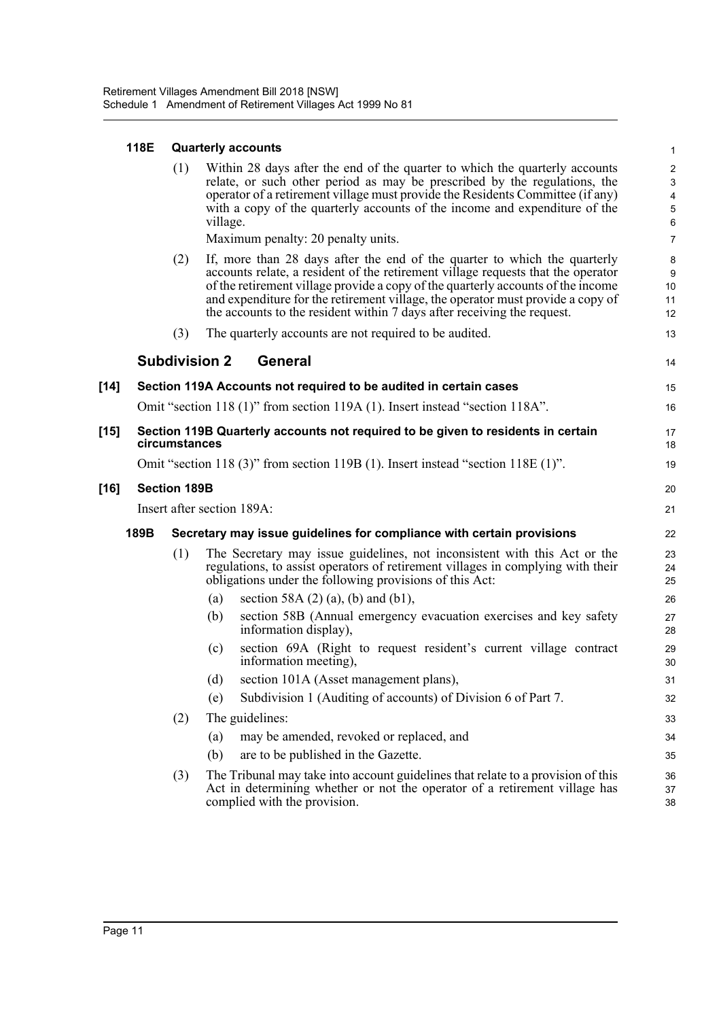|  | 118E Quarterly accounts |  |
|--|-------------------------|--|
|--|-------------------------|--|

|        |      | (1)                 | Within 28 days after the end of the quarter to which the quarterly accounts<br>relate, or such other period as may be prescribed by the regulations, the<br>operator of a retirement village must provide the Residents Committee (if any)<br>with a copy of the quarterly accounts of the income and expenditure of the<br>village.                                                                            | 2<br>4<br>$\epsilon$     |
|--------|------|---------------------|-----------------------------------------------------------------------------------------------------------------------------------------------------------------------------------------------------------------------------------------------------------------------------------------------------------------------------------------------------------------------------------------------------------------|--------------------------|
|        |      |                     | Maximum penalty: 20 penalty units.                                                                                                                                                                                                                                                                                                                                                                              | $\overline{7}$           |
|        |      | (2)                 | If, more than 28 days after the end of the quarter to which the quarterly<br>accounts relate, a resident of the retirement village requests that the operator<br>of the retirement village provide a copy of the quarterly accounts of the income<br>and expenditure for the retirement village, the operator must provide a copy of<br>the accounts to the resident within 7 days after receiving the request. | ε<br>ξ<br>10<br>11<br>12 |
|        |      | (3)                 | The quarterly accounts are not required to be audited.                                                                                                                                                                                                                                                                                                                                                          | 13                       |
|        |      |                     | <b>Subdivision 2</b><br><b>General</b>                                                                                                                                                                                                                                                                                                                                                                          | 14                       |
| [14]   |      |                     | Section 119A Accounts not required to be audited in certain cases                                                                                                                                                                                                                                                                                                                                               | 15                       |
|        |      |                     | Omit "section 118 (1)" from section 119A (1). Insert instead "section 118A".                                                                                                                                                                                                                                                                                                                                    | 16                       |
| $[15]$ |      | circumstances       | Section 119B Quarterly accounts not required to be given to residents in certain                                                                                                                                                                                                                                                                                                                                | 17<br>18                 |
|        |      |                     | Omit "section 118 (3)" from section 119B (1). Insert instead "section 118E (1)".                                                                                                                                                                                                                                                                                                                                | 19                       |
| [16]   |      | <b>Section 189B</b> |                                                                                                                                                                                                                                                                                                                                                                                                                 | 20                       |
|        |      |                     | Insert after section 189A:                                                                                                                                                                                                                                                                                                                                                                                      | 21                       |
|        | 189B |                     | Secretary may issue guidelines for compliance with certain provisions                                                                                                                                                                                                                                                                                                                                           | 22                       |
|        |      | (1)                 | The Secretary may issue guidelines, not inconsistent with this Act or the<br>regulations, to assist operators of retirement villages in complying with their<br>obligations under the following provisions of this Act:                                                                                                                                                                                         | 23<br>24<br>25           |
|        |      |                     | section 58A $(2)$ $(a)$ , $(b)$ and $(b1)$ ,<br>(a)                                                                                                                                                                                                                                                                                                                                                             | 26                       |
|        |      |                     | (b)<br>section 58B (Annual emergency evacuation exercises and key safety<br>information display),                                                                                                                                                                                                                                                                                                               | 27<br>28                 |
|        |      |                     | section 69A (Right to request resident's current village contract<br>(c)<br>information meeting),                                                                                                                                                                                                                                                                                                               | 29<br>3 <sub>C</sub>     |
|        |      |                     | section 101A (Asset management plans),<br>(d)                                                                                                                                                                                                                                                                                                                                                                   | 31                       |
|        |      |                     | Subdivision 1 (Auditing of accounts) of Division 6 of Part 7.<br>(e)                                                                                                                                                                                                                                                                                                                                            | 32                       |
|        |      | (2)                 | The guidelines:                                                                                                                                                                                                                                                                                                                                                                                                 | 33                       |
|        |      |                     | may be amended, revoked or replaced, and<br>(a)                                                                                                                                                                                                                                                                                                                                                                 | 34                       |
|        |      |                     | are to be published in the Gazette.<br>(b)                                                                                                                                                                                                                                                                                                                                                                      | 35                       |
|        |      | (3)                 | The Tribunal may take into account guidelines that relate to a provision of this<br>Act in determining whether or not the operator of a retirement village has<br>complied with the provision.                                                                                                                                                                                                                  | 36<br>37<br>38           |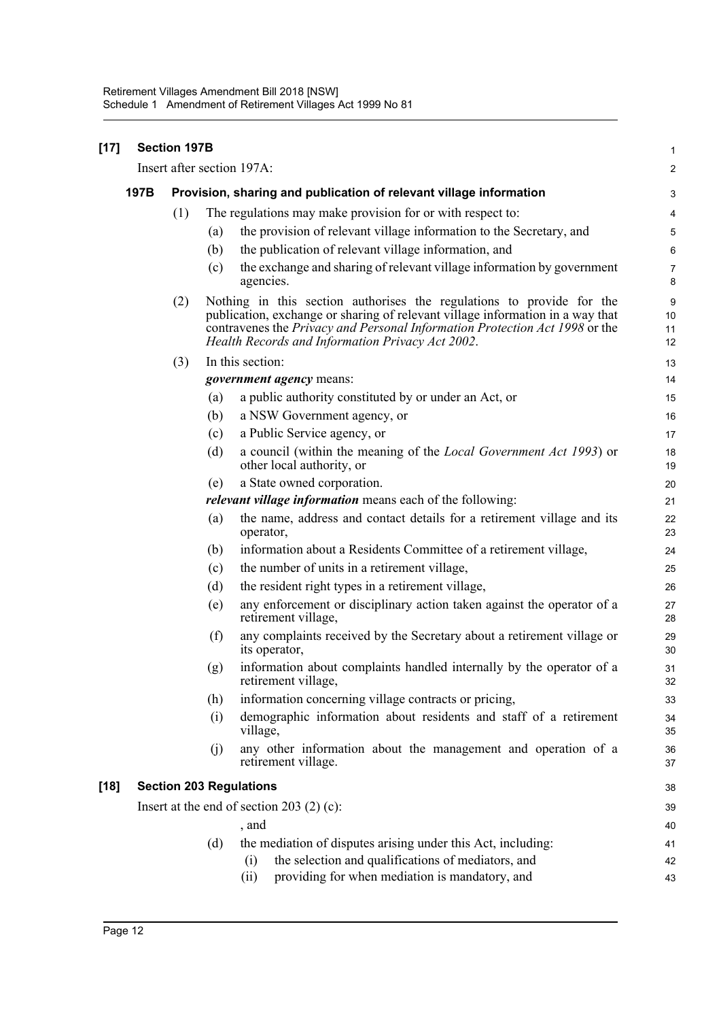| $[17]$ | <b>Section 197B</b>                         |                                                                    |     |                                                                                                                                                                                                                                                                                            | 1                   |  |
|--------|---------------------------------------------|--------------------------------------------------------------------|-----|--------------------------------------------------------------------------------------------------------------------------------------------------------------------------------------------------------------------------------------------------------------------------------------------|---------------------|--|
|        | Insert after section 197A:                  |                                                                    |     |                                                                                                                                                                                                                                                                                            |                     |  |
|        | 197B                                        | Provision, sharing and publication of relevant village information |     |                                                                                                                                                                                                                                                                                            |                     |  |
|        |                                             | (1)                                                                |     | The regulations may make provision for or with respect to:                                                                                                                                                                                                                                 | 4                   |  |
|        |                                             |                                                                    | (a) | the provision of relevant village information to the Secretary, and                                                                                                                                                                                                                        | 5                   |  |
|        |                                             |                                                                    | (b) | the publication of relevant village information, and                                                                                                                                                                                                                                       | 6                   |  |
|        |                                             |                                                                    | (c) | the exchange and sharing of relevant village information by government<br>agencies.                                                                                                                                                                                                        | $\overline{7}$<br>8 |  |
|        |                                             | (2)                                                                |     | Nothing in this section authorises the regulations to provide for the<br>publication, exchange or sharing of relevant village information in a way that<br>contravenes the Privacy and Personal Information Protection Act 1998 or the<br>Health Records and Information Privacy Act 2002. | 9<br>10<br>11<br>12 |  |
|        |                                             | (3)                                                                |     | In this section:                                                                                                                                                                                                                                                                           | 13                  |  |
|        |                                             |                                                                    |     | <i>government agency</i> means:                                                                                                                                                                                                                                                            | 14                  |  |
|        |                                             |                                                                    | (a) | a public authority constituted by or under an Act, or                                                                                                                                                                                                                                      | 15                  |  |
|        |                                             |                                                                    | (b) | a NSW Government agency, or                                                                                                                                                                                                                                                                | 16                  |  |
|        |                                             |                                                                    | (c) | a Public Service agency, or                                                                                                                                                                                                                                                                | 17                  |  |
|        |                                             |                                                                    | (d) | a council (within the meaning of the <i>Local Government Act 1993</i> ) or<br>other local authority, or                                                                                                                                                                                    | 18<br>19            |  |
|        |                                             |                                                                    | (e) | a State owned corporation.                                                                                                                                                                                                                                                                 | 20                  |  |
|        |                                             |                                                                    |     | <i>relevant village information</i> means each of the following:                                                                                                                                                                                                                           | 21                  |  |
|        |                                             |                                                                    | (a) | the name, address and contact details for a retirement village and its<br>operator,                                                                                                                                                                                                        | 22<br>23            |  |
|        |                                             |                                                                    | (b) | information about a Residents Committee of a retirement village,                                                                                                                                                                                                                           | 24                  |  |
|        |                                             |                                                                    | (c) | the number of units in a retirement village,                                                                                                                                                                                                                                               | 25                  |  |
|        |                                             |                                                                    | (d) | the resident right types in a retirement village,                                                                                                                                                                                                                                          | 26                  |  |
|        |                                             |                                                                    | (e) | any enforcement or disciplinary action taken against the operator of a<br>retirement village,                                                                                                                                                                                              | 27<br>28            |  |
|        |                                             |                                                                    | (f) | any complaints received by the Secretary about a retirement village or<br>its operator,                                                                                                                                                                                                    | 29<br>30            |  |
|        |                                             |                                                                    | (g) | information about complaints handled internally by the operator of a<br>retirement village,                                                                                                                                                                                                | 31<br>32            |  |
|        |                                             |                                                                    | (h) | information concerning village contracts or pricing,                                                                                                                                                                                                                                       | 33                  |  |
|        |                                             |                                                                    | (i) | demographic information about residents and staff of a retirement<br>village,                                                                                                                                                                                                              | 34<br>35            |  |
|        |                                             |                                                                    | (j) | any other information about the management and operation of a<br>retirement village.                                                                                                                                                                                                       | 36<br>37            |  |
| $[18]$ | <b>Section 203 Regulations</b>              |                                                                    |     |                                                                                                                                                                                                                                                                                            |                     |  |
|        | Insert at the end of section 203 $(2)$ (c): |                                                                    |     |                                                                                                                                                                                                                                                                                            |                     |  |
|        |                                             |                                                                    |     | , and                                                                                                                                                                                                                                                                                      | 40                  |  |
|        |                                             |                                                                    | (d) | the mediation of disputes arising under this Act, including:                                                                                                                                                                                                                               | 41                  |  |
|        |                                             |                                                                    |     | the selection and qualifications of mediators, and<br>(i)                                                                                                                                                                                                                                  | 42                  |  |
|        |                                             |                                                                    |     | providing for when mediation is mandatory, and<br>(ii)                                                                                                                                                                                                                                     | 43                  |  |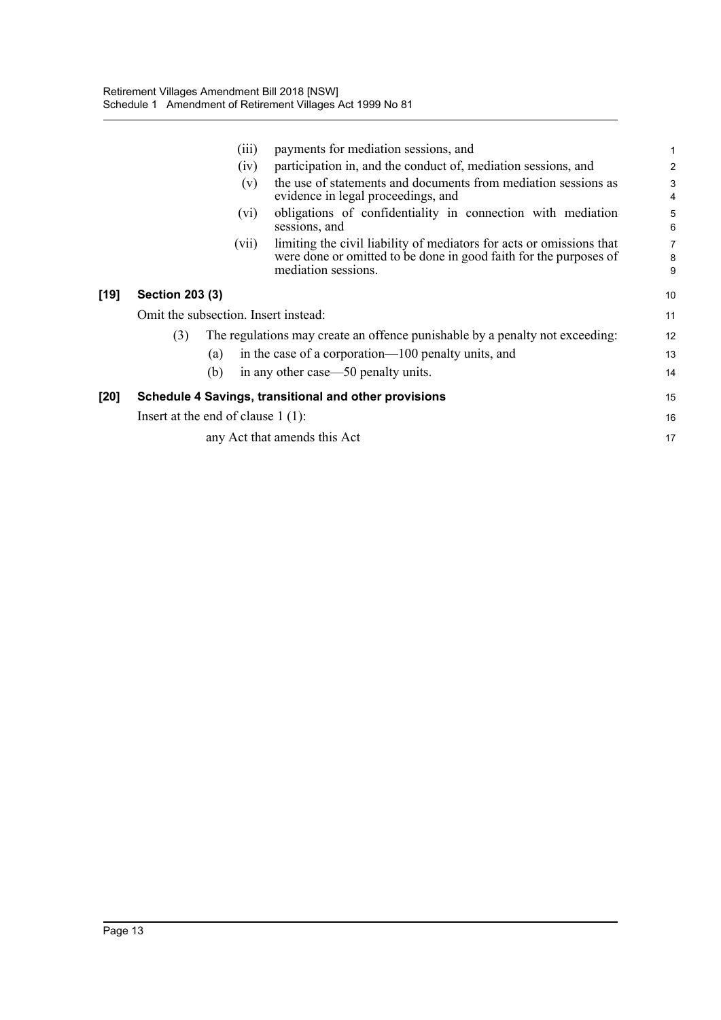|      |                                                                      | (iii)                                                                        | payments for mediation sessions, and                                                                                                                             | 1                   |  |  |  |
|------|----------------------------------------------------------------------|------------------------------------------------------------------------------|------------------------------------------------------------------------------------------------------------------------------------------------------------------|---------------------|--|--|--|
|      |                                                                      | (iv)                                                                         | participation in, and the conduct of, mediation sessions, and                                                                                                    | $\overline{2}$      |  |  |  |
|      |                                                                      | (v)                                                                          | the use of statements and documents from mediation sessions as<br>evidence in legal proceedings, and                                                             | 3<br>$\overline{4}$ |  |  |  |
|      |                                                                      | (vi)                                                                         | obligations of confidentiality in connection with mediation<br>sessions, and                                                                                     | 5<br>6              |  |  |  |
|      |                                                                      | (V11)                                                                        | limiting the civil liability of mediators for acts or omissions that<br>were done or omitted to be done in good faith for the purposes of<br>mediation sessions. | 7<br>8<br>9         |  |  |  |
| [19] | <b>Section 203 (3)</b>                                               |                                                                              |                                                                                                                                                                  |                     |  |  |  |
|      | Omit the subsection. Insert instead:                                 |                                                                              |                                                                                                                                                                  |                     |  |  |  |
|      | (3)                                                                  | The regulations may create an offence punishable by a penalty not exceeding: |                                                                                                                                                                  |                     |  |  |  |
|      |                                                                      | (a)                                                                          | in the case of a corporation—100 penalty units, and                                                                                                              |                     |  |  |  |
|      |                                                                      | (b)                                                                          | in any other case—50 penalty units.                                                                                                                              | 14                  |  |  |  |
| [20] | Schedule 4 Savings, transitional and other provisions                |                                                                              |                                                                                                                                                                  |                     |  |  |  |
|      | Insert at the end of clause $1(1)$ :<br>any Act that amends this Act |                                                                              |                                                                                                                                                                  |                     |  |  |  |
|      |                                                                      |                                                                              |                                                                                                                                                                  |                     |  |  |  |
|      |                                                                      |                                                                              |                                                                                                                                                                  |                     |  |  |  |